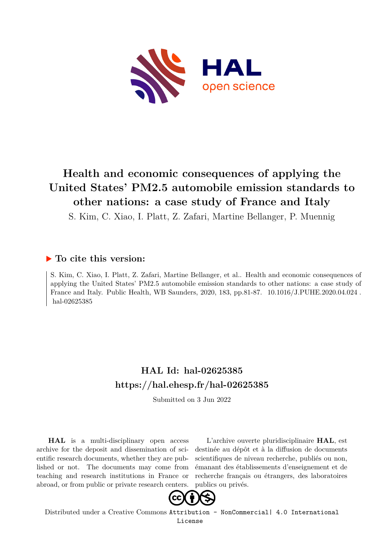

## **Health and economic consequences of applying the United States' PM2.5 automobile emission standards to other nations: a case study of France and Italy**

S. Kim, C. Xiao, I. Platt, Z. Zafari, Martine Bellanger, P. Muennig

### **To cite this version:**

S. Kim, C. Xiao, I. Platt, Z. Zafari, Martine Bellanger, et al.. Health and economic consequences of applying the United States' PM2.5 automobile emission standards to other nations: a case study of France and Italy. Public Health, WB Saunders, 2020, 183, pp.81-87. 10.1016/J.PUHE.2020.04.024. hal-02625385

## **HAL Id: hal-02625385 <https://hal.ehesp.fr/hal-02625385>**

Submitted on 3 Jun 2022

**HAL** is a multi-disciplinary open access archive for the deposit and dissemination of scientific research documents, whether they are published or not. The documents may come from teaching and research institutions in France or abroad, or from public or private research centers.

L'archive ouverte pluridisciplinaire **HAL**, est destinée au dépôt et à la diffusion de documents scientifiques de niveau recherche, publiés ou non, émanant des établissements d'enseignement et de recherche français ou étrangers, des laboratoires publics ou privés.



Distributed under a Creative Commons [Attribution - NonCommercial| 4.0 International](http://creativecommons.org/licenses/by-nc/4.0/) [License](http://creativecommons.org/licenses/by-nc/4.0/)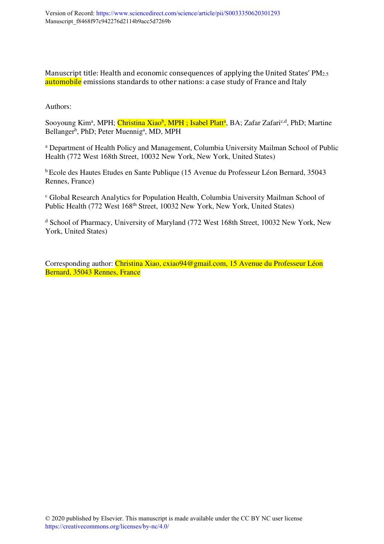Manuscript title: Health and economic consequences of applying the United States' PM<sub>2.5</sub> automobile emissions standards to other nations: a case study of France and Italy

Authors:

Sooyoung Kim<sup>a</sup>, MPH; <mark>Christina Xiao<sup>b</sup>, MPH ; Isabel Platt<sup>a</sup>,</mark> BA; Zafar Zafari<sup>c,d</sup>, PhD; Martine Bellanger<sup>b</sup>, PhD; Peter Muennig<sup>a</sup>, MD, MPH

a Department of Health Policy and Management, Columbia University Mailman School of Public Health (772 West 168th Street, 10032 New York, New York, United States)

<sup>b</sup>Ecole des Hautes Etudes en Sante Publique (15 Avenue du Professeur Léon Bernard, 35043 Rennes, France)

c Global Research Analytics for Population Health, Columbia University Mailman School of Public Health (772 West 168<sup>th</sup> Street, 10032 New York, New York, United States)

<sup>d</sup> School of Pharmacy, University of Maryland (772 West 168th Street, 10032 New York, New York, United States)

Corresponding author: Christina Xiao, cxiao94@gmail.com, 15 Avenue du Professeur Léon Bernard, 35043 Rennes, France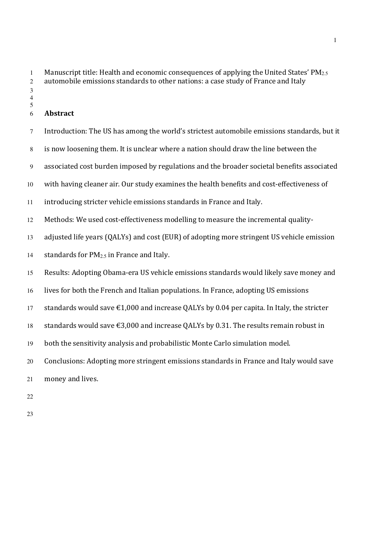1 Manuscript title: Health and economic consequences of applying the United States' PM<sub>2.5</sub> automobile emissions standards to other nations: a case study of France and Italy 

#### **Abstract**

- Introduction: The US has among the world's strictest automobile emissions standards, but it is now loosening them. It is unclear where a nation should draw the line between the associated cost burden imposed by regulations and the broader societal benefits associated with having cleaner air. Our study examines the health benefits and cost-effectiveness of introducing stricter vehicle emissions standards in France and Italy. Methods: We used cost-effectiveness modelling to measure the incremental quality-adjusted life years (QALYs) and cost (EUR) of adopting more stringent US vehicle emission 14 standards for  $PM<sub>2.5</sub>$  in France and Italy. Results: Adopting Obama-era US vehicle emissions standards would likely save money and lives for both the French and Italian populations. In France, adopting US emissions 17 standards would save  $\epsilon$ 1,000 and increase OALYs by 0.04 per capita. In Italy, the stricter 18 standards would save  $\epsilon$ 3,000 and increase QALYs by 0.31. The results remain robust in both the sensitivity analysis and probabilistic Monte Carlo simulation model. Conclusions: Adopting more stringent emissions standards in France and Italy would save money and lives.
-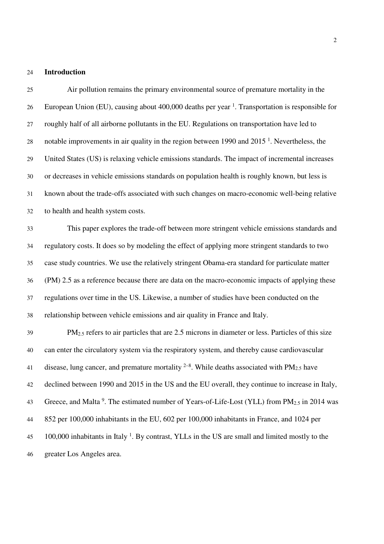#### **Introduction**

Air pollution remains the primary environmental source of premature mortality in the 26 European Union (EU), causing about 400,000 deaths per year <sup>1</sup>. Transportation is responsible for roughly half of all airborne pollutants in the EU. Regulations on transportation have led to 28 notable improvements in air quality in the region between 1990 and  $2015<sup>1</sup>$ . Nevertheless, the United States (US) is relaxing vehicle emissions standards. The impact of incremental increases or decreases in vehicle emissions standards on population health is roughly known, but less is known about the trade-offs associated with such changes on macro-economic well-being relative to health and health system costs. This paper explores the trade-off between more stringent vehicle emissions standards and regulatory costs. It does so by modeling the effect of applying more stringent standards to two case study countries. We use the relatively stringent Obama-era standard for particulate matter (PM) 2.5 as a reference because there are data on the macro-economic impacts of applying these regulations over time in the US. Likewise, a number of studies have been conducted on the relationship between vehicle emissions and air quality in France and Italy. PM<sub>2.5</sub> refers to air particles that are 2.5 microns in diameter or less. Particles of this size can enter the circulatory system via the respiratory system, and thereby cause cardiovascular 41 disease, lung cancer, and premature mortality  $2^{-8}$ . While deaths associated with PM<sub>2.5</sub> have declined between 1990 and 2015 in the US and the EU overall, they continue to increase in Italy, 43 Greece, and Malta<sup>9</sup>. The estimated number of Years-of-Life-Lost (YLL) from  $PM_{2.5}$  in 2014 was 852 per 100,000 inhabitants in the EU, 602 per 100,000 inhabitants in France, and 1024 per  $100,000$  inhabitants in Italy <sup>1</sup>. By contrast, YLLs in the US are small and limited mostly to the greater Los Angeles area.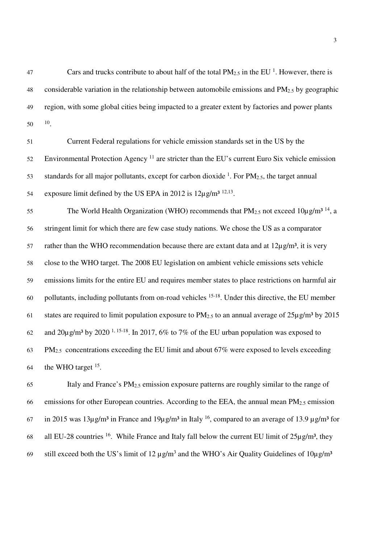47 Cars and trucks contribute to about half of the total  $PM_{2.5}$  in the EU <sup>1</sup>. However, there is 48 considerable variation in the relationship between automobile emissions and  $PM_{2.5}$  by geographic 49 region, with some global cities being impacted to a greater extent by factories and power plants  $50 \t 10$ .

51 Current Federal regulations for vehicle emission standards set in the US by the Environmental Protection Agency  $11$  are stricter than the EU's current Euro Six vehicle emission 53 standards for all major pollutants, except for carbon dioxide  $1$ . For  $PM_{2.5}$ , the target annual 54 exposure limit defined by the US EPA in 2012 is  $12\mu$ g/m<sup>3 12,13</sup>.

The World Health Organization (WHO) recommends that  $PM_{2.5}$  not exceed  $10\mu g/m^3$  <sup>14</sup>, a 56 stringent limit for which there are few case study nations. We chose the US as a comparator 57 rather than the WHO recommendation because there are extant data and at  $12\mu g/m^3$ , it is very 58 close to the WHO target. The 2008 EU legislation on ambient vehicle emissions sets vehicle 59 emissions limits for the entire EU and requires member states to place restrictions on harmful air 60 . pollutants, including pollutants from on-road vehicles  $15-18$ . Under this directive, the EU member 61 states are required to limit population exposure to  $PM_{2.5}$  to an annual average of  $25\mu g/m^3$  by  $2015$ 62 and  $20\mu$ g/m<sup>3</sup> by 2020<sup>-1, 15-18</sup>. In 2017, 6% to 7% of the EU urban population was exposed to  $63$  PM<sub>2.5</sub> concentrations exceeding the EU limit and about 67% were exposed to levels exceeding 64 the WHO target  $15$ .

65 Italy and France's  $PM_{2.5}$  emission exposure patterns are roughly similar to the range of 66 emissions for other European countries. According to the EEA, the annual mean  $PM_{2.5}$  emission in 2015 was  $13\mu$ g/m<sup>3</sup> in France and  $19\mu$ g/m<sup>3</sup> in Italy <sup>16</sup>, compared to an average of 13.9  $\mu$ g/m<sup>3</sup> for 68 all EU-28 countries <sup>16</sup>. While France and Italy fall below the current EU limit of  $25\mu\text{g/m}^3$ , they 69 still exceed both the US's limit of 12  $\mu$ g/m<sup>3</sup> and the WHO's Air Quality Guidelines of 10 $\mu$ g/m<sup>3</sup>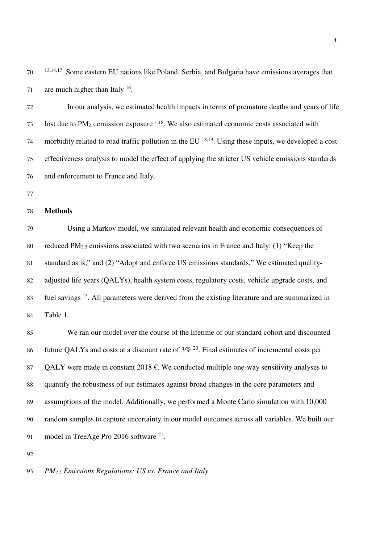13,14,17 . Some eastern EU nations like Poland, Serbia, and Bulgaria have emissions averages that 71 are much higher than Italy .

In our analysis, we estimated health impacts in terms of premature deaths and years of life 73 lost due to  $PM_{2.5}$  emission exposure <sup>1,18</sup>. We also estimated economic costs associated with 74 morbidity related to road traffic pollution in the EU  $^{18,19}$ . Using these inputs, we developed a cost-effectiveness analysis to model the effect of applying the stricter US vehicle emissions standards and enforcement to France and Italy.

#### **Methods**

Using a Markov model, we simulated relevant health and economic consequences of 80 reduced PM<sub>2.5</sub> emissions associated with two scenarios in France and Italy: (1) "Keep the standard as is;" and (2) "Adopt and enforce US emissions standards." We estimated quality-adjusted life years (QALYs), health system costs, regulatory costs, vehicle upgrade costs, and 83 fuel savings <sup>13</sup>. All parameters were derived from the existing literature and are summarized in Table 1.

We ran our model over the course of the lifetime of our standard cohort and discounted 86 future QALYs and costs at a discount rate of  $3\%$  <sup>20</sup>. Final estimates of incremental costs per 87 OALY were made in constant 2018  $\epsilon$ . We conducted multiple one-way sensitivity analyses to quantify the robustness of our estimates against broad changes in the core parameters and assumptions of the model. Additionally, we performed a Monte Carlo simulation with 10,000 random samples to capture uncertainty in our model outcomes across all variables. We built our 91 model in TreeAge Pro 2016 software  $2^{1}$ .

*PM2.5 Emissions Regulations: US vs. France and Italy*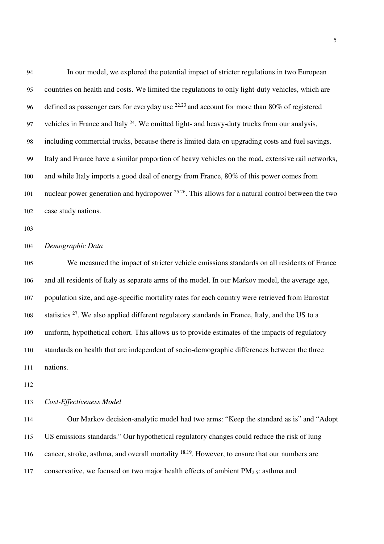| 94  | In our model, we explored the potential impact of stricter regulations in two European              |
|-----|-----------------------------------------------------------------------------------------------------|
| 95  | countries on health and costs. We limited the regulations to only light-duty vehicles, which are    |
| 96  | defined as passenger cars for everyday use $^{22,23}$ and account for more than 80% of registered   |
| 97  | vehicles in France and Italy $24$ . We omitted light- and heavy-duty trucks from our analysis,      |
| 98  | including commercial trucks, because there is limited data on upgrading costs and fuel savings.     |
| 99  | Italy and France have a similar proportion of heavy vehicles on the road, extensive rail networks,  |
| 100 | and while Italy imports a good deal of energy from France, 80% of this power comes from             |
| 101 | nuclear power generation and hydropower $25,26$ . This allows for a natural control between the two |
| 102 | case study nations.                                                                                 |

#### *Demographic Data*

We measured the impact of stricter vehicle emissions standards on all residents of France and all residents of Italy as separate arms of the model. In our Markov model, the average age, population size, and age-specific mortality rates for each country were retrieved from Eurostat 108 statistics . We also applied different regulatory standards in France, Italy, and the US to a uniform, hypothetical cohort. This allows us to provide estimates of the impacts of regulatory standards on health that are independent of socio-demographic differences between the three nations.

#### *Cost-Effectiveness Model*

Our Markov decision-analytic model had two arms: "Keep the standard as is" and "Adopt US emissions standards." Our hypothetical regulatory changes could reduce the risk of lung 116 cancer, stroke, asthma, and overall mortality  $18,19$ . However, to ensure that our numbers are 117 conservative, we focused on two major health effects of ambient PM<sub>2.5</sub>: asthma and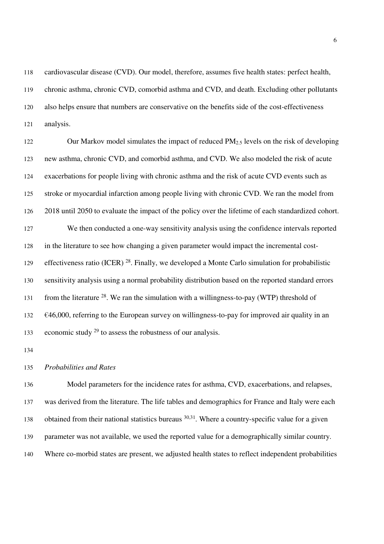cardiovascular disease (CVD). Our model, therefore, assumes five health states: perfect health, chronic asthma, chronic CVD, comorbid asthma and CVD, and death. Excluding other pollutants also helps ensure that numbers are conservative on the benefits side of the cost-effectiveness analysis.

122 Our Markov model simulates the impact of reduced PM<sub>2.5</sub> levels on the risk of developing new asthma, chronic CVD, and comorbid asthma, and CVD. We also modeled the risk of acute exacerbations for people living with chronic asthma and the risk of acute CVD events such as stroke or myocardial infarction among people living with chronic CVD. We ran the model from 2018 until 2050 to evaluate the impact of the policy over the lifetime of each standardized cohort. We then conducted a one-way sensitivity analysis using the confidence intervals reported in the literature to see how changing a given parameter would impact the incremental cost-129 effectiveness ratio (ICER)  $^{28}$ . Finally, we developed a Monte Carlo simulation for probabilistic sensitivity analysis using a normal probability distribution based on the reported standard errors 131 from the literature . We ran the simulation with a willingness-to-pay (WTP) threshold of  $132 \quad \text{€46,000, referring to the European survey on willingness-to-pay for improved air quality in an}$ 133 economic study  $2^9$  to assess the robustness of our analysis.

#### *Probabilities and Rates*

Model parameters for the incidence rates for asthma, CVD, exacerbations, and relapses, was derived from the literature. The life tables and demographics for France and Italy were each 138 obtained from their national statistics bureaus  $30,31$ . Where a country-specific value for a given parameter was not available, we used the reported value for a demographically similar country. Where co-morbid states are present, we adjusted health states to reflect independent probabilities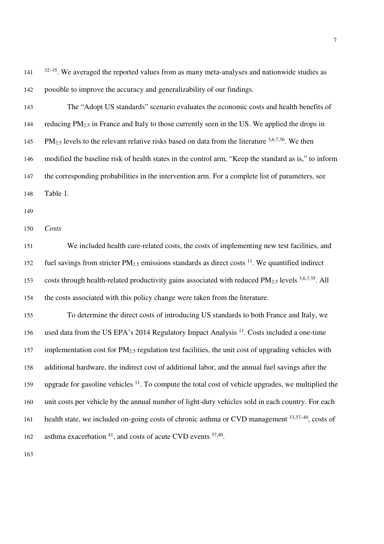$32-35$ . We averaged the reported values from as many meta-analyses and nationwide studies as possible to improve the accuracy and generalizability of our findings.

- The "Adopt US standards" scenario evaluates the economic costs and health benefits of 144 reducing PM<sub>2.5</sub> in France and Italy to those currently seen in the US. We applied the drops in  $PM_{2.5}$  levels to the relevant relative risks based on data from the literature  $3,6,7,36$ . We then modified the baseline risk of health states in the control arm, "Keep the standard as is," to inform the corresponding probabilities in the intervention arm. For a complete list of parameters, see Table 1*.*
- 

*Costs* 

We included health care-related costs, the costs of implementing new test facilities, and 152 fuel savings from stricter  $PM_{2.5}$  emissions standards as direct costs <sup>11</sup>. We quantified indirect 153 costs through health-related productivity gains associated with reduced  $PM_{2.5}$  levels  $3,6,7,35$ . All the costs associated with this policy change were taken from the literature.

To determine the direct costs of introducing US standards to both France and Italy, we 156 used data from the US EPA's 2014 Regulatory Impact Analysis . Costs included a one-time 157 implementation cost for  $PM_{2.5}$  regulation test facilities, the unit cost of upgrading vehicles with additional hardware, the indirect cost of additional labor, and the annual fuel savings after the 159 upgrade for gasoline vehicles . To compute the total cost of vehicle upgrades, we multiplied the unit costs per vehicle by the annual number of light-duty vehicles sold in each country. For each health state, we included on-going costs of chronic asthma or CVD management  $33,37-40$ , costs of 162 asthma exacerbation , and costs of acute CVD events  $37,40$ .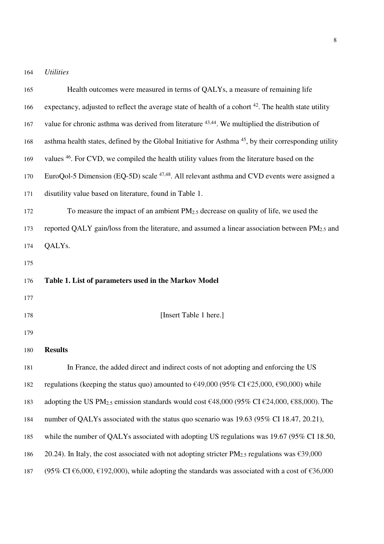164 *Utilities* 

| 165 | Health outcomes were measured in terms of QALYs, a measure of remaining life                                                                           |
|-----|--------------------------------------------------------------------------------------------------------------------------------------------------------|
| 166 | expectancy, adjusted to reflect the average state of health of a cohort $42$ . The health state utility                                                |
| 167 | value for chronic asthma was derived from literature 43,44. We multiplied the distribution of                                                          |
| 168 | asthma health states, defined by the Global Initiative for Asthma <sup>45</sup> , by their corresponding utility                                       |
| 169 | values <sup>46</sup> . For CVD, we compiled the health utility values from the literature based on the                                                 |
| 170 | EuroQol-5 Dimension (EQ-5D) scale <sup>47,48</sup> . All relevant asthma and CVD events were assigned a                                                |
| 171 | disutility value based on literature, found in Table 1.                                                                                                |
| 172 | To measure the impact of an ambient $PM_{2.5}$ decrease on quality of life, we used the                                                                |
| 173 | reported QALY gain/loss from the literature, and assumed a linear association between PM <sub>2.5</sub> and                                            |
| 174 | QALY <sub>s</sub> .                                                                                                                                    |
| 175 |                                                                                                                                                        |
| 176 | Table 1. List of parameters used in the Markov Model                                                                                                   |
| 177 |                                                                                                                                                        |
| 178 | [Insert Table 1 here.]                                                                                                                                 |
| 179 |                                                                                                                                                        |
| 180 | <b>Results</b>                                                                                                                                         |
| 181 | In France, the added direct and indirect costs of not adopting and enforcing the US                                                                    |
| 182 | regulations (keeping the status quo) amounted to $\text{\textsterling}49,000$ (95% CI $\text{\textsterling}25,000, \text{\textsterling}90,000$ ) while |
| 183 | adopting the US PM <sub>2.5</sub> emission standards would cost €48,000 (95% CI €24,000, €88,000). The                                                 |
| 184 | number of QALYs associated with the status quo scenario was 19.63 (95% CI 18.47, 20.21),                                                               |
| 185 | while the number of QALYs associated with adopting US regulations was $19.67$ (95% CI 18.50,                                                           |
| 186 | 20.24). In Italy, the cost associated with not adopting stricter PM <sub>2.5</sub> regulations was $\epsilon$ 39,000                                   |
| 187 | (95% CI $\epsilon$ 6,000, $\epsilon$ 192,000), while adopting the standards was associated with a cost of $\epsilon$ 36,000                            |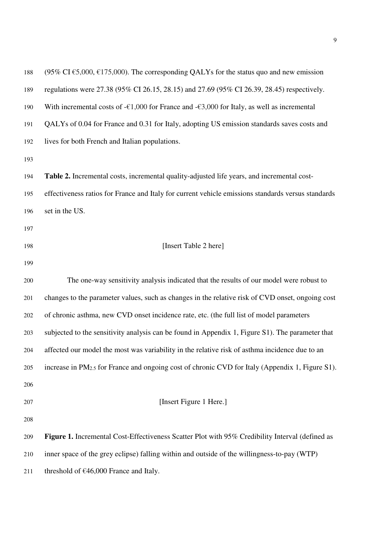| 188 | $(95\% \text{ CI} \text{ } \epsilon 5,000, \epsilon 175,000)$ . The corresponding QALYs for the status quo and new emission |
|-----|-----------------------------------------------------------------------------------------------------------------------------|
| 189 | regulations were 27.38 (95% CI 26.15, 28.15) and 27.69 (95% CI 26.39, 28.45) respectively.                                  |
| 190 | With incremental costs of - $\epsilon$ 1,000 for France and - $\epsilon$ 3,000 for Italy, as well as incremental            |
| 191 | QALYs of 0.04 for France and 0.31 for Italy, adopting US emission standards saves costs and                                 |
| 192 | lives for both French and Italian populations.                                                                              |
| 193 |                                                                                                                             |
| 194 | Table 2. Incremental costs, incremental quality-adjusted life years, and incremental cost-                                  |
| 195 | effectiveness ratios for France and Italy for current vehicle emissions standards versus standards                          |
| 196 | set in the US.                                                                                                              |
| 197 |                                                                                                                             |
| 198 | [Insert Table 2 here]                                                                                                       |
| 199 |                                                                                                                             |
| 200 | The one-way sensitivity analysis indicated that the results of our model were robust to                                     |
| 201 | changes to the parameter values, such as changes in the relative risk of CVD onset, ongoing cost                            |
| 202 | of chronic asthma, new CVD onset incidence rate, etc. (the full list of model parameters                                    |
| 203 | subjected to the sensitivity analysis can be found in Appendix 1, Figure S1). The parameter that                            |
| 204 | affected our model the most was variability in the relative risk of asthma incidence due to an                              |
| 205 | increase in PM <sub>2.5</sub> for France and ongoing cost of chronic CVD for Italy (Appendix 1, Figure S1).                 |
| 206 |                                                                                                                             |
| 207 | [Insert Figure 1 Here.]                                                                                                     |
| 208 |                                                                                                                             |
| 209 | Figure 1. Incremental Cost-Effectiveness Scatter Plot with 95% Credibility Interval (defined as                             |
| 210 | inner space of the grey eclipse) falling within and outside of the willingness-to-pay (WTP)                                 |
| 211 | threshold of €46,000 France and Italy.                                                                                      |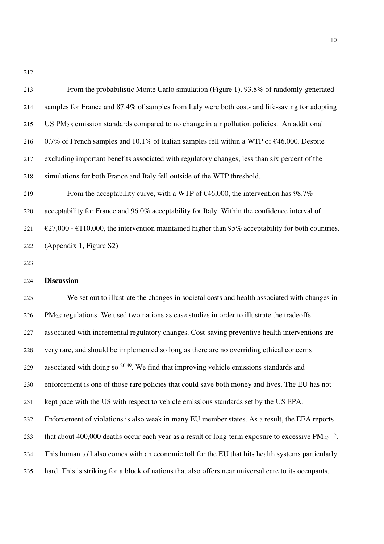| 213 | From the probabilistic Monte Carlo simulation (Figure 1), 93.8% of randomly-generated                   |
|-----|---------------------------------------------------------------------------------------------------------|
| 214 | samples for France and 87.4% of samples from Italy were both cost- and life-saving for adopting         |
| 215 | US $PM2.5$ emission standards compared to no change in air pollution policies. An additional            |
| 216 | 0.7% of French samples and 10.1% of Italian samples fell within a WTP of $\epsilon$ 46,000. Despite     |
| 217 | excluding important benefits associated with regulatory changes, less than six percent of the           |
| 218 | simulations for both France and Italy fell outside of the WTP threshold.                                |
| 219 | From the acceptability curve, with a WTP of $\epsilon$ 46,000, the intervention has 98.7%               |
| 220 | acceptability for France and 96.0% acceptability for Italy. Within the confidence interval of           |
| 221 | €27,000 - €110,000, the intervention maintained higher than 95% acceptability for both countries.       |
| 222 | (Appendix 1, Figure S2)                                                                                 |
| 223 |                                                                                                         |
| 224 | <b>Discussion</b>                                                                                       |
| 225 | We set out to illustrate the changes in societal costs and health associated with changes in            |
| 226 | PM <sub>2.5</sub> regulations. We used two nations as case studies in order to illustrate the tradeoffs |
| 227 | associated with incremental regulatory changes. Cost-saving preventive health interventions are         |
| 228 | very rare, and should be implemented so long as there are no overriding ethical concerns                |
| 229 | associated with doing so $20,49$ . We find that improving vehicle emissions standards and               |
|     |                                                                                                         |
| 230 | enforcement is one of those rare policies that could save both money and lives. The EU has not          |
| 231 | kept pace with the US with respect to vehicle emissions standards set by the US EPA.                    |

- that about 400,000 deaths occur each year as a result of long-term exposure to excessive  $PM_{2.5}$  <sup>15</sup>.
- This human toll also comes with an economic toll for the EU that hits health systems particularly
- hard. This is striking for a block of nations that also offers near universal care to its occupants.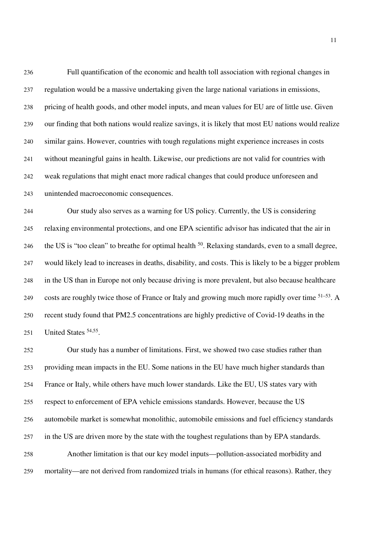Full quantification of the economic and health toll association with regional changes in regulation would be a massive undertaking given the large national variations in emissions, pricing of health goods, and other model inputs, and mean values for EU are of little use. Given our finding that both nations would realize savings, it is likely that most EU nations would realize similar gains. However, countries with tough regulations might experience increases in costs without meaningful gains in health. Likewise, our predictions are not valid for countries with weak regulations that might enact more radical changes that could produce unforeseen and unintended macroeconomic consequences.

Our study also serves as a warning for US policy. Currently, the US is considering relaxing environmental protections, and one EPA scientific advisor has indicated that the air in 246 the US is "too clean" to breathe for optimal health <sup>50</sup>. Relaxing standards, even to a small degree, would likely lead to increases in deaths, disability, and costs. This is likely to be a bigger problem in the US than in Europe not only because driving is more prevalent, but also because healthcare 249 costs are roughly twice those of France or Italy and growing much more rapidly over time <sup>51–53</sup>. A recent study found that PM2.5 concentrations are highly predictive of Covid-19 deaths in the 251 United States  $54,55$ .

Our study has a number of limitations. First, we showed two case studies rather than providing mean impacts in the EU. Some nations in the EU have much higher standards than France or Italy, while others have much lower standards. Like the EU, US states vary with respect to enforcement of EPA vehicle emissions standards. However, because the US automobile market is somewhat monolithic, automobile emissions and fuel efficiency standards in the US are driven more by the state with the toughest regulations than by EPA standards. Another limitation is that our key model inputs—pollution-associated morbidity and mortality—are not derived from randomized trials in humans (for ethical reasons). Rather, they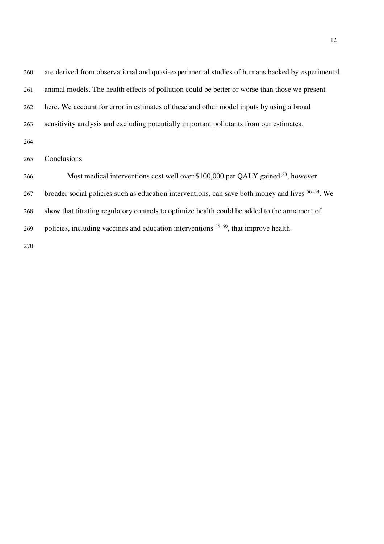| 260 | are derived from observational and quasi-experimental studies of humans backed by experimental               |
|-----|--------------------------------------------------------------------------------------------------------------|
| 261 | animal models. The health effects of pollution could be better or worse than those we present                |
| 262 | here. We account for error in estimates of these and other model inputs by using a broad                     |
| 263 | sensitivity analysis and excluding potentially important pollutants from our estimates.                      |
| 264 |                                                                                                              |
| 265 | Conclusions                                                                                                  |
| 266 | Most medical interventions cost well over \$100,000 per QALY gained <sup>28</sup> , however                  |
| 267 | broader social policies such as education interventions, can save both money and lives <sup>56–59</sup> . We |
| 268 | show that titrating regulatory controls to optimize health could be added to the armament of                 |
| 269 | policies, including vaccines and education interventions $56-59$ , that improve health.                      |
| 270 |                                                                                                              |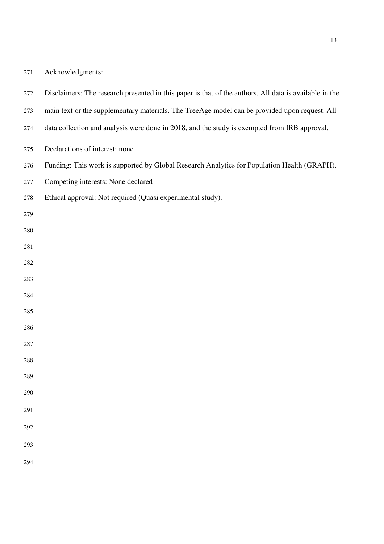| 271 | Acknowledgments: |
|-----|------------------|
|-----|------------------|

- Disclaimers: The research presented in this paper is that of the authors. All data is available in the
- main text or the supplementary materials. The TreeAge model can be provided upon request. All
- data collection and analysis were done in 2018, and the study is exempted from IRB approval.
- Declarations of interest: none
- Funding: This work is supported by Global Research Analytics for Population Health (GRAPH).
- Competing interests: None declared
- Ethical approval: Not required (Quasi experimental study).
- 
- 
- 
- 
- 
- 
- 
- 
- 
- 
- 
- 
- 
- 
- 
-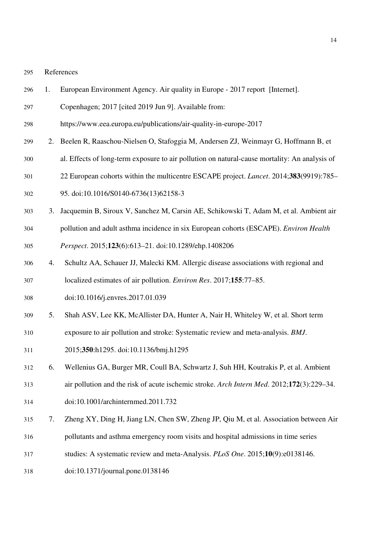References

- 1. European Environment Agency. Air quality in Europe 2017 report [Internet].
- Copenhagen; 2017 [cited 2019 Jun 9]. Available from:
- https://www.eea.europa.eu/publications/air-quality-in-europe-2017
- 2. Beelen R, Raaschou-Nielsen O, Stafoggia M, Andersen ZJ, Weinmayr G, Hoffmann B, et
- al. Effects of long-term exposure to air pollution on natural-cause mortality: An analysis of
- 22 European cohorts within the multicentre ESCAPE project. *Lancet*. 2014;**383**(9919):785–
- 95. doi:10.1016/S0140-6736(13)62158-3
- 3. Jacquemin B, Siroux V, Sanchez M, Carsin AE, Schikowski T, Adam M, et al. Ambient air
- pollution and adult asthma incidence in six European cohorts (ESCAPE). *Environ Health*

*Perspect*. 2015;**123**(6):613–21. doi:10.1289/ehp.1408206

- 4. Schultz AA, Schauer JJ, Malecki KM. Allergic disease associations with regional and localized estimates of air pollution. *Environ Res*. 2017;**155**:77–85.
- doi:10.1016/j.envres.2017.01.039
- 5. Shah ASV, Lee KK, McAllister DA, Hunter A, Nair H, Whiteley W, et al. Short term
- exposure to air pollution and stroke: Systematic review and meta-analysis. *BMJ*.
- 2015;**350**:h1295. doi:10.1136/bmj.h1295
- 6. Wellenius GA, Burger MR, Coull BA, Schwartz J, Suh HH, Koutrakis P, et al. Ambient
- air pollution and the risk of acute ischemic stroke. *Arch Intern Med*. 2012;**172**(3):229–34.
- doi:10.1001/archinternmed.2011.732
- 7. Zheng XY, Ding H, Jiang LN, Chen SW, Zheng JP, Qiu M, et al. Association between Air
- pollutants and asthma emergency room visits and hospital admissions in time series
- studies: A systematic review and meta-Analysis. *PLoS One*. 2015;**10**(9):e0138146.
- doi:10.1371/journal.pone.0138146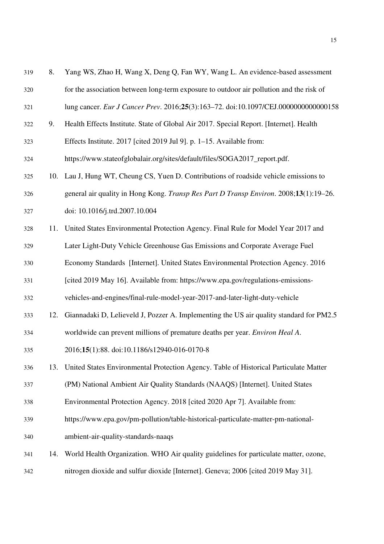| 319 | 8.  | Yang WS, Zhao H, Wang X, Deng Q, Fan WY, Wang L. An evidence-based assessment           |
|-----|-----|-----------------------------------------------------------------------------------------|
| 320 |     | for the association between long-term exposure to outdoor air pollution and the risk of |
| 321 |     | lung cancer. Eur J Cancer Prev. 2016;25(3):163-72. doi:10.1097/CEJ.000000000000158      |
| 322 | 9.  | Health Effects Institute. State of Global Air 2017. Special Report. [Internet]. Health  |
| 323 |     | Effects Institute. 2017 [cited 2019 Jul 9]. p. 1-15. Available from:                    |
| 324 |     | https://www.stateofglobalair.org/sites/default/files/SOGA2017_report.pdf.               |
| 325 |     | 10. Lau J, Hung WT, Cheung CS, Yuen D. Contributions of roadside vehicle emissions to   |
| 326 |     | general air quality in Hong Kong. Transp Res Part D Transp Environ. 2008;13(1):19-26.   |
| 327 |     | doi: 10.1016/j.trd.2007.10.004                                                          |
| 328 | 11. | United States Environmental Protection Agency. Final Rule for Model Year 2017 and       |
| 329 |     | Later Light-Duty Vehicle Greenhouse Gas Emissions and Corporate Average Fuel            |
| 330 |     | Economy Standards [Internet]. United States Environmental Protection Agency. 2016       |
| 331 |     | [cited 2019 May 16]. Available from: https://www.epa.gov/regulations-emissions-         |
| 332 |     | vehicles-and-engines/final-rule-model-year-2017-and-later-light-duty-vehicle            |
| 333 | 12. | Giannadaki D, Lelieveld J, Pozzer A. Implementing the US air quality standard for PM2.5 |
| 334 |     | worldwide can prevent millions of premature deaths per year. Environ Heal A.            |
| 335 |     | 2016;15(1):88. doi:10.1186/s12940-016-0170-8                                            |
| 336 | 13. | United States Environmental Protection Agency. Table of Historical Particulate Matter   |
| 337 |     | (PM) National Ambient Air Quality Standards (NAAQS) [Internet]. United States           |
| 338 |     | Environmental Protection Agency. 2018 [cited 2020 Apr 7]. Available from:               |
| 339 |     | https://www.epa.gov/pm-pollution/table-historical-particulate-matter-pm-national-       |
| 340 |     | ambient-air-quality-standards-naaqs                                                     |
| 341 | 14. | World Health Organization. WHO Air quality guidelines for particulate matter, ozone,    |
| 342 |     | nitrogen dioxide and sulfur dioxide [Internet]. Geneva; 2006 [cited 2019 May 31].       |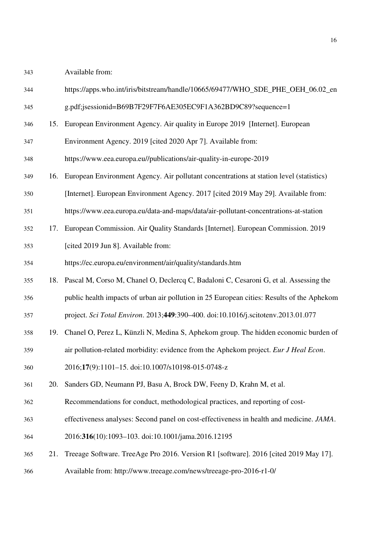Available from:

| 344 |     | https://apps.who.int/iris/bitstream/handle/10665/69477/WHO_SDE_PHE_OEH_06.02_en            |
|-----|-----|--------------------------------------------------------------------------------------------|
| 345 |     | g.pdf;jsessionid=B69B7F29F7F6AE305EC9F1A362BD9C89?sequence=1                               |
| 346 |     | 15. European Environment Agency. Air quality in Europe 2019 [Internet]. European           |
| 347 |     | Environment Agency. 2019 [cited 2020 Apr 7]. Available from:                               |
| 348 |     | https://www.eea.europa.eu//publications/air-quality-in-europe-2019                         |
| 349 | 16. | European Environment Agency. Air pollutant concentrations at station level (statistics)    |
| 350 |     | [Internet]. European Environment Agency. 2017 [cited 2019 May 29]. Available from:         |
| 351 |     | https://www.eea.europa.eu/data-and-maps/data/air-pollutant-concentrations-at-station       |
| 352 | 17. | European Commission. Air Quality Standards [Internet]. European Commission. 2019           |
| 353 |     | [cited 2019 Jun 8]. Available from:                                                        |
| 354 |     | https://ec.europa.eu/environment/air/quality/standards.htm                                 |
| 355 | 18. | Pascal M, Corso M, Chanel O, Declercq C, Badaloni C, Cesaroni G, et al. Assessing the      |
| 356 |     | public health impacts of urban air pollution in 25 European cities: Results of the Aphekom |
| 357 |     | project. Sci Total Environ. 2013;449:390-400. doi:10.1016/j.scitotenv.2013.01.077          |
| 358 | 19. | Chanel O, Perez L, Künzli N, Medina S, Aphekom group. The hidden economic burden of        |
| 359 |     | air pollution-related morbidity: evidence from the Aphekom project. Eur J Heal Econ.       |
| 360 |     | 2016;17(9):1101-15. doi:10.1007/s10198-015-0748-z                                          |
| 361 | 20. | Sanders GD, Neumann PJ, Basu A, Brock DW, Feeny D, Krahn M, et al.                         |
| 362 |     | Recommendations for conduct, methodological practices, and reporting of cost-              |
| 363 |     | effectiveness analyses: Second panel on cost-effectiveness in health and medicine. JAMA.   |
| 364 |     | 2016:316(10):1093-103. doi:10.1001/jama.2016.12195                                         |
| 365 | 21. | Treeage Software. TreeAge Pro 2016. Version R1 [software]. 2016 [cited 2019 May 17].       |
| 366 |     | Available from: http://www.treeage.com/news/treeage-pro-2016-r1-0/                         |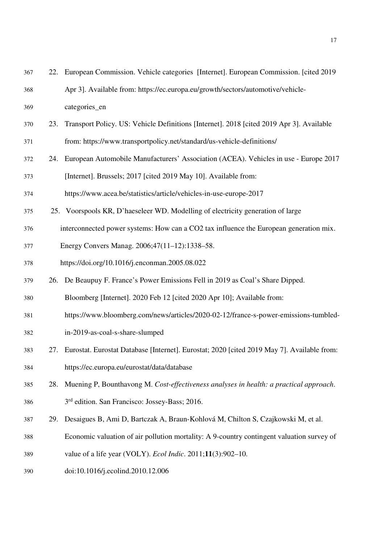| 367 |     | 22. European Commission. Vehicle categories [Internet]. European Commission. [cited 2019]  |
|-----|-----|--------------------------------------------------------------------------------------------|
| 368 |     | Apr 3]. Available from: https://ec.europa.eu/growth/sectors/automotive/vehicle-            |
| 369 |     | categories_en                                                                              |
| 370 | 23. | Transport Policy. US: Vehicle Definitions [Internet]. 2018 [cited 2019 Apr 3]. Available   |
| 371 |     | from: https://www.transportpolicy.net/standard/us-vehicle-definitions/                     |
| 372 | 24. | European Automobile Manufacturers' Association (ACEA). Vehicles in use - Europe 2017       |
| 373 |     | [Internet]. Brussels; 2017 [cited 2019 May 10]. Available from:                            |
| 374 |     | https://www.acea.be/statistics/article/vehicles-in-use-europe-2017                         |
| 375 |     | 25. Voorspools KR, D'haeseleer WD. Modelling of electricity generation of large            |
| 376 |     | interconnected power systems: How can a CO2 tax influence the European generation mix.     |
| 377 |     | Energy Convers Manag. 2006;47(11-12):1338-58.                                              |
| 378 |     | https://doi.org/10.1016/j.enconman.2005.08.022                                             |
| 379 |     | 26. De Beaupuy F. France's Power Emissions Fell in 2019 as Coal's Share Dipped.            |
| 380 |     | Bloomberg [Internet]. 2020 Feb 12 [cited 2020 Apr 10]; Available from:                     |
| 381 |     | https://www.bloomberg.com/news/articles/2020-02-12/france-s-power-emissions-tumbled-       |
| 382 |     | in-2019-as-coal-s-share-slumped                                                            |
| 383 | 27. | Eurostat. Eurostat Database [Internet]. Eurostat; 2020 [cited 2019 May 7]. Available from: |
| 384 |     | https://ec.europa.eu/eurostat/data/database                                                |
| 385 | 28. | Muening P, Bounthavong M. Cost-effectiveness analyses in health: a practical approach.     |
| 386 |     | 3 <sup>rd</sup> edition. San Francisco: Jossey-Bass; 2016.                                 |
| 387 | 29. | Desaigues B, Ami D, Bartczak A, Braun-Kohlová M, Chilton S, Czajkowski M, et al.           |
| 388 |     | Economic valuation of air pollution mortality: A 9-country contingent valuation survey of  |
| 389 |     | value of a life year (VOLY). <i>Ecol Indic</i> . 2011;11(3):902-10.                        |
| 390 |     | doi:10.1016/j.ecolind.2010.12.006                                                          |
|     |     |                                                                                            |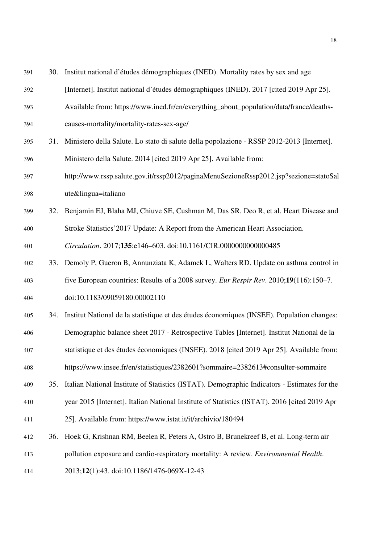| 391 | 30. | Institut national d'études démographiques (INED). Mortality rates by sex and age             |
|-----|-----|----------------------------------------------------------------------------------------------|
| 392 |     | [Internet]. Institut national d'études démographiques (INED). 2017 [cited 2019 Apr 25].      |
| 393 |     | Available from: https://www.ined.fr/en/everything_about_population/data/france/deaths-       |
| 394 |     | causes-mortality/mortality-rates-sex-age/                                                    |
| 395 | 31. | Ministero della Salute. Lo stato di salute della popolazione - RSSP 2012-2013 [Internet].    |
| 396 |     | Ministero della Salute. 2014 [cited 2019 Apr 25]. Available from:                            |
| 397 |     | http://www.rssp.salute.gov.it/rssp2012/paginaMenuSezioneRssp2012.jsp?sezione=statoSal        |
| 398 |     | ute&lingua=italiano                                                                          |
| 399 | 32. | Benjamin EJ, Blaha MJ, Chiuve SE, Cushman M, Das SR, Deo R, et al. Heart Disease and         |
| 400 |     | Stroke Statistics' 2017 Update: A Report from the American Heart Association.                |
| 401 |     | Circulation. 2017;135:e146-603. doi:10.1161/CIR.000000000000485                              |
| 402 | 33. | Demoly P, Gueron B, Annunziata K, Adamek L, Walters RD. Update on asthma control in          |
| 403 |     | five European countries: Results of a 2008 survey. Eur Respir Rev. 2010;19(116):150-7.       |
| 404 |     | doi:10.1183/09059180.00002110                                                                |
| 405 | 34. | Institut National de la statistique et des études économiques (INSEE). Population changes:   |
| 406 |     | Demographic balance sheet 2017 - Retrospective Tables [Internet]. Institut National de la    |
| 407 |     | statistique et des études économiques (INSEE). 2018 [cited 2019 Apr 25]. Available from:     |
| 408 |     | https://www.insee.fr/en/statistiques/2382601?sommaire=2382613#consulter-sommaire             |
| 409 | 35. | Italian National Institute of Statistics (ISTAT). Demographic Indicators - Estimates for the |
| 410 |     | year 2015 [Internet]. Italian National Institute of Statistics (ISTAT). 2016 [cited 2019 Apr |
| 411 |     | 25]. Available from: https://www.istat.it/it/archivio/180494                                 |
| 412 | 36. | Hoek G, Krishnan RM, Beelen R, Peters A, Ostro B, Brunekreef B, et al. Long-term air         |
| 413 |     | pollution exposure and cardio-respiratory mortality: A review. Environmental Health.         |
| 414 |     | 2013;12(1):43. doi:10.1186/1476-069X-12-43                                                   |
|     |     |                                                                                              |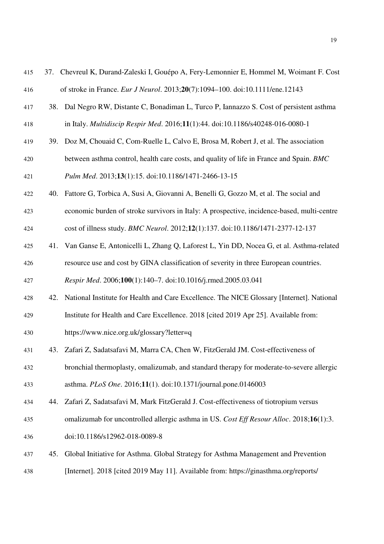| 415 | 37. | Chevreul K, Durand-Zaleski I, Gouépo A, Fery-Lemonnier E, Hommel M, Woimant F. Cost        |
|-----|-----|--------------------------------------------------------------------------------------------|
| 416 |     | of stroke in France. Eur J Neurol. 2013;20(7):1094-100. doi:10.1111/ene.12143              |
| 417 |     | 38. Dal Negro RW, Distante C, Bonadiman L, Turco P, Iannazzo S. Cost of persistent asthma  |
| 418 |     | in Italy. Multidiscip Respir Med. 2016;11(1):44. doi:10.1186/s40248-016-0080-1             |
| 419 |     | 39. Doz M, Chouaid C, Com-Ruelle L, Calvo E, Brosa M, Robert J, et al. The association     |
| 420 |     | between asthma control, health care costs, and quality of life in France and Spain. BMC    |
| 421 |     | Pulm Med. 2013;13(1):15. doi:10.1186/1471-2466-13-15                                       |
| 422 | 40. | Fattore G, Torbica A, Susi A, Giovanni A, Benelli G, Gozzo M, et al. The social and        |
| 423 |     | economic burden of stroke survivors in Italy: A prospective, incidence-based, multi-centre |
| 424 |     | cost of illness study. BMC Neurol. 2012;12(1):137. doi:10.1186/1471-2377-12-137            |
| 425 | 41. | Van Ganse E, Antonicelli L, Zhang Q, Laforest L, Yin DD, Nocea G, et al. Asthma-related    |
| 426 |     | resource use and cost by GINA classification of severity in three European countries.      |
| 427 |     | Respir Med. 2006;100(1):140-7. doi:10.1016/j.rmed.2005.03.041                              |
| 428 | 42. | National Institute for Health and Care Excellence. The NICE Glossary [Internet]. National  |
| 429 |     | Institute for Health and Care Excellence. 2018 [cited 2019 Apr 25]. Available from:        |
| 430 |     | https://www.nice.org.uk/glossary?letter=q                                                  |
| 431 | 43. | Zafari Z, Sadatsafavi M, Marra CA, Chen W, FitzGerald JM. Cost-effectiveness of            |
| 432 |     | bronchial thermoplasty, omalizumab, and standard therapy for moderate-to-severe allergic   |
| 433 |     | asthma. PLoS One. 2016;11(1). doi:10.1371/journal.pone.0146003                             |
| 434 | 44. | Zafari Z, Sadatsafavi M, Mark FitzGerald J. Cost-effectiveness of tiotropium versus        |
| 435 |     | omalizumab for uncontrolled allergic asthma in US. Cost Eff Resour Alloc. 2018;16(1):3.    |
| 436 |     | doi:10.1186/s12962-018-0089-8                                                              |
| 437 | 45. | Global Initiative for Asthma. Global Strategy for Asthma Management and Prevention         |
| 438 |     | [Internet]. 2018 [cited 2019 May 11]. Available from: https://ginasthma.org/reports/       |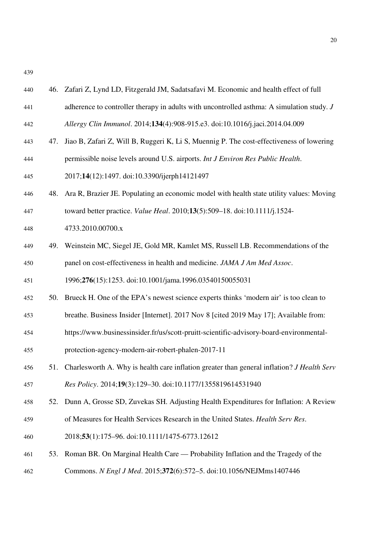| 440 |     | 46. Zafari Z, Lynd LD, Fitzgerald JM, Sadatsafavi M. Economic and health effect of full     |
|-----|-----|---------------------------------------------------------------------------------------------|
| 441 |     | adherence to controller therapy in adults with uncontrolled asthma: A simulation study. $J$ |
| 442 |     | Allergy Clin Immunol. 2014;134(4):908-915.e3. doi:10.1016/j.jaci.2014.04.009                |
| 443 | 47. | Jiao B, Zafari Z, Will B, Ruggeri K, Li S, Muennig P. The cost-effectiveness of lowering    |
| 444 |     | permissible noise levels around U.S. airports. Int J Environ Res Public Health.             |
| 445 |     | 2017;14(12):1497. doi:10.3390/ijerph14121497                                                |
| 446 | 48. | Ara R, Brazier JE. Populating an economic model with health state utility values: Moving    |
| 447 |     | toward better practice. Value Heal. 2010;13(5):509-18. doi:10.1111/j.1524-                  |
| 448 |     | 4733.2010.00700.x                                                                           |
| 449 |     | 49. Weinstein MC, Siegel JE, Gold MR, Kamlet MS, Russell LB. Recommendations of the         |
| 450 |     | panel on cost-effectiveness in health and medicine. JAMA J Am Med Assoc.                    |
| 451 |     | 1996;276(15):1253. doi:10.1001/jama.1996.03540150055031                                     |
| 452 | 50. | Brueck H. One of the EPA's newest science experts thinks 'modern air' is too clean to       |
| 453 |     | breathe. Business Insider [Internet]. 2017 Nov 8 [cited 2019 May 17]; Available from:       |
| 454 |     | https://www.businessinsider.fr/us/scott-pruitt-scientific-advisory-board-environmental-     |
| 455 |     | protection-agency-modern-air-robert-phalen-2017-11                                          |
| 456 | 51. | Charlesworth A. Why is health care inflation greater than general inflation? J Health Serv  |
| 457 |     | Res Policy. 2014;19(3):129-30. doi:10.1177/1355819614531940                                 |
| 458 | 52. | Dunn A, Grosse SD, Zuvekas SH. Adjusting Health Expenditures for Inflation: A Review        |
| 459 |     | of Measures for Health Services Research in the United States. Health Serv Res.             |
| 460 |     | 2018;53(1):175-96. doi:10.1111/1475-6773.12612                                              |
| 461 | 53. | Roman BR. On Marginal Health Care — Probability Inflation and the Tragedy of the            |
| 462 |     | Commons. N Engl J Med. 2015;372(6):572-5. doi:10.1056/NEJMms1407446                         |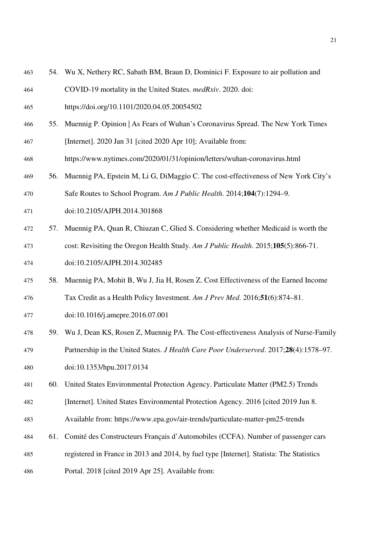- 54. Wu X, Nethery RC, Sabath BM, Braun D, Dominici F. Exposure to air pollution and
- COVID-19 mortality in the United States. *medRxiv*. 2020. doi:
- https://doi.org/10.1101/2020.04.05.20054502
- 55. Muennig P. Opinion | As Fears of Wuhan's Coronavirus Spread. The New York Times
- [Internet]. 2020 Jan 31 [cited 2020 Apr 10]; Available from:
- https://www.nytimes.com/2020/01/31/opinion/letters/wuhan-coronavirus.html
- 56. Muennig PA, Epstein M, Li G, DiMaggio C. The cost-effectiveness of New York City's
- Safe Routes to School Program. *Am J Public Health*. 2014;**104**(7):1294–9.
- doi:10.2105/AJPH.2014.301868
- 57. Muennig PA, Quan R, Chiuzan C, Glied S. Considering whether Medicaid is worth the
- cost: Revisiting the Oregon Health Study. *Am J Public Health*. 2015;**105**(5):866-71.
- doi:10.2105/AJPH.2014.302485
- 58. Muennig PA, Mohit B, Wu J, Jia H, Rosen Z. Cost Effectiveness of the Earned Income
- Tax Credit as a Health Policy Investment. *Am J Prev Med*. 2016;**51**(6):874–81.
- doi:10.1016/j.amepre.2016.07.001
- 59. Wu J, Dean KS, Rosen Z, Muennig PA. The Cost-effectiveness Analysis of Nurse-Family Partnership in the United States. *J Health Care Poor Underserved*. 2017;**28**(4):1578–97.
- doi:10.1353/hpu.2017.0134
- 60. United States Environmental Protection Agency. Particulate Matter (PM2.5) Trends
- [Internet]. United States Environmental Protection Agency. 2016 [cited 2019 Jun 8.
- Available from: https://www.epa.gov/air-trends/particulate-matter-pm25-trends
- 61. Comité des Constructeurs Français d'Automobiles (CCFA). Number of passenger cars
- registered in France in 2013 and 2014, by fuel type [Internet]. Statista: The Statistics
- Portal. 2018 [cited 2019 Apr 25]. Available from: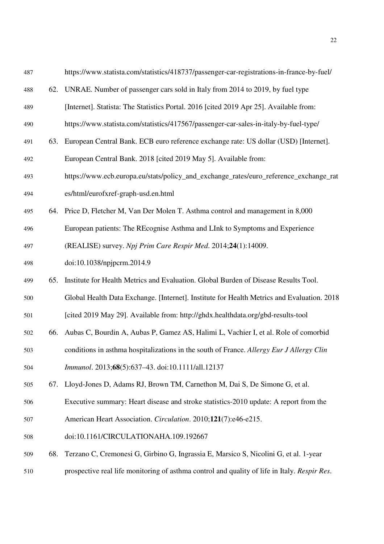| 487 |     | https://www.statista.com/statistics/418737/passenger-car-registrations-in-france-by-fuel/    |
|-----|-----|----------------------------------------------------------------------------------------------|
| 488 | 62. | UNRAE. Number of passenger cars sold in Italy from 2014 to 2019, by fuel type                |
| 489 |     | [Internet]. Statista: The Statistics Portal. 2016 [cited 2019 Apr 25]. Available from:       |
| 490 |     | https://www.statista.com/statistics/417567/passenger-car-sales-in-italy-by-fuel-type/        |
| 491 | 63. | European Central Bank. ECB euro reference exchange rate: US dollar (USD) [Internet].         |
| 492 |     | European Central Bank. 2018 [cited 2019 May 5]. Available from:                              |
| 493 |     | https://www.ecb.europa.eu/stats/policy_and_exchange_rates/euro_reference_exchange_rat        |
| 494 |     | es/html/eurofxref-graph-usd.en.html                                                          |
| 495 |     | 64. Price D, Fletcher M, Van Der Molen T. Asthma control and management in 8,000             |
| 496 |     | European patients: The REcognise Asthma and LInk to Symptoms and Experience                  |
| 497 |     | (REALISE) survey. Npj Prim Care Respir Med. 2014;24(1):14009.                                |
| 498 |     | doi:10.1038/npjpcrm.2014.9                                                                   |
| 499 | 65. | Institute for Health Metrics and Evaluation. Global Burden of Disease Results Tool.          |
| 500 |     | Global Health Data Exchange. [Internet]. Institute for Health Metrics and Evaluation. 2018   |
| 501 |     | [cited 2019 May 29]. Available from: http://ghdx.healthdata.org/gbd-results-tool             |
| 502 | 66. | Aubas C, Bourdin A, Aubas P, Gamez AS, Halimi L, Vachier I, et al. Role of comorbid          |
| 503 |     | conditions in asthma hospitalizations in the south of France. Allergy Eur J Allergy Clin     |
| 504 |     | Immunol. 2013;68(5):637-43. doi:10.1111/all.12137                                            |
| 505 | 67. | Lloyd-Jones D, Adams RJ, Brown TM, Carnethon M, Dai S, De Simone G, et al.                   |
| 506 |     | Executive summary: Heart disease and stroke statistics-2010 update: A report from the        |
| 507 |     | American Heart Association. Circulation. 2010;121(7):e46-e215.                               |
| 508 |     | doi:10.1161/CIRCULATIONAHA.109.192667                                                        |
| 509 | 68. | Terzano C, Cremonesi G, Girbino G, Ingrassia E, Marsico S, Nicolini G, et al. 1-year         |
| 510 |     | prospective real life monitoring of asthma control and quality of life in Italy. Respir Res. |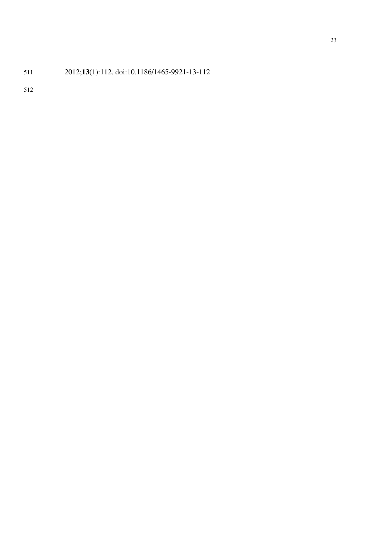## 2012;**13**(1):112. doi:10.1186/1465-9921-13-112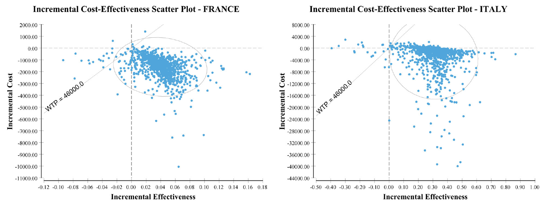# **Incremental Cost-Effectiveness Scatter Plot - FRANCE**



# **Incremental Cost-Effectiveness Scatter Plot - ITALY**



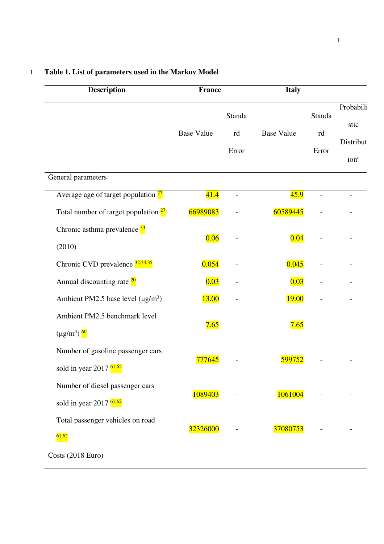| <b>Description</b>                                                       | <b>France</b>     |                       | <b>Italy</b>      |                       |                                                    |  |
|--------------------------------------------------------------------------|-------------------|-----------------------|-------------------|-----------------------|----------------------------------------------------|--|
|                                                                          | <b>Base Value</b> | Standa<br>rd<br>Error | <b>Base Value</b> | Standa<br>rd<br>Error | Probabili<br>stic<br>Distribut<br>ion <sup>a</sup> |  |
| General parameters                                                       |                   |                       |                   |                       |                                                    |  |
| Average age of target population <sup>27</sup>                           | 41.4              | $\overline{a}$        | 45.9              | $\overline{a}$        | $\overline{a}$                                     |  |
| Total number of target population <sup>27</sup>                          | 66989083          |                       | 60589445          |                       |                                                    |  |
| Chronic asthma prevalence <sup>33</sup><br>(2010)                        | 0.06              |                       | 0.04              |                       |                                                    |  |
| Chronic CVD prevalence $\frac{32,34,35}{2}$                              | 0.054             |                       | 0.045             |                       |                                                    |  |
| Annual discounting rate <sup>20</sup>                                    | 0.03              |                       | 0.03              |                       |                                                    |  |
| Ambient PM2.5 base level $(\mu g/m^3)$                                   | <b>13.00</b>      |                       | <b>19.00</b>      |                       |                                                    |  |
| Ambient PM2.5 benchmark level<br>$(\mu g/m^3)$ $60$                      | 7.65              |                       | 7.65              |                       |                                                    |  |
| Number of gasoline passenger cars<br>sold in year 2017 $\frac{61,62}{ }$ | 777645            |                       | <u>599752</u>     |                       |                                                    |  |
| Number of diesel passenger cars<br>sold in year 2017 $61,62$             | 1089403           |                       | 1061004           |                       |                                                    |  |
| Total passenger vehicles on road<br>61,62                                | 32326000          |                       | 37080753          |                       |                                                    |  |

### 1 **Table 1. List of parameters used in the Markov Model**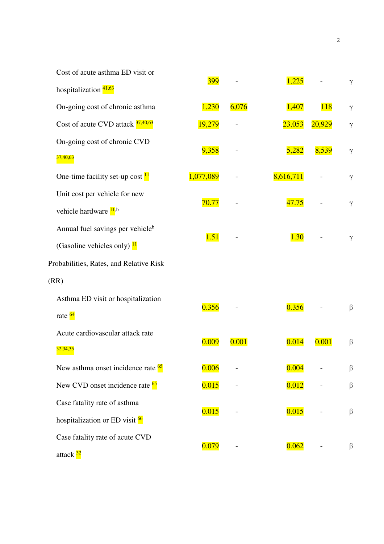| Cost of acute asthma ED visit or              |            |       |           |            |          |
|-----------------------------------------------|------------|-------|-----------|------------|----------|
| hospitalization $\frac{41,63}{4}$             | <b>399</b> |       | 1,225     |            | $\gamma$ |
| On-going cost of chronic asthma               | 1,230      | 6,076 | 1,407     | <b>118</b> | γ        |
| Cost of acute CVD attack $\frac{37,40,63}{2}$ | 19,279     |       | 23,053    | 20,929     | γ        |
| On-going cost of chronic CVD                  |            |       |           |            |          |
| 37,40,63                                      | 9,358      |       | 5,282     | 8,539      | $\gamma$ |
| One-time facility set-up cost $\frac{11}{2}$  | 1,077,089  |       | 8,616,711 |            | γ        |
| Unit cost per vehicle for new                 |            |       |           |            |          |
| vehicle hardware <sup>11,b</sup>              | 70.77      |       | 47.75     |            | $\gamma$ |
| Annual fuel savings per vehicle <sup>b</sup>  | 1.51       |       | 1.30      |            |          |
| (Gasoline vehicles only) $\frac{11}{1}$       |            |       |           |            | $\gamma$ |
| Probabilities, Rates, and Relative Risk       |            |       |           |            |          |
| (RR)                                          |            |       |           |            |          |
| Asthma ED visit or hospitalization            | 0.356      |       | 0.356     |            | β        |
| rate $\frac{64}{ }$                           |            |       |           |            |          |
| Acute cardiovascular attack rate              | 0.009      | 0.001 | 0.014     | 0.001      | β        |
| 32,34,35                                      |            |       |           |            |          |
| New asthma onset incidence rate <sup>65</sup> | 0.006      |       | 0.004     |            | β        |
| New CVD onset incidence rate <sup>65</sup>    | 0.015      |       | 0.012     |            | $\beta$  |
| Case fatality rate of asthma                  | 0.015      |       | 0.015     |            | $\beta$  |
| hospitalization or ED visit 66                |            |       |           |            |          |
| Case fatality rate of acute CVD               |            |       |           |            |          |
|                                               | 0.079      |       | 0.062     |            | $\beta$  |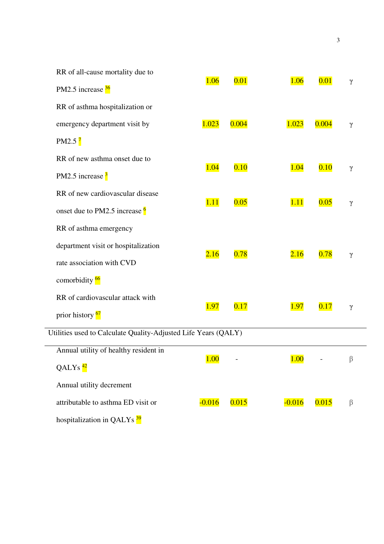| 1.06     | 0.01                                               | $\gamma$                     |               |
|----------|----------------------------------------------------|------------------------------|---------------|
|          |                                                    |                              |               |
|          |                                                    |                              |               |
| 1.023    | 0.004                                              | $\gamma$                     |               |
|          |                                                    |                              |               |
|          |                                                    |                              |               |
|          |                                                    | $\gamma$                     |               |
|          |                                                    |                              |               |
|          |                                                    |                              |               |
|          |                                                    |                              |               |
|          |                                                    |                              |               |
|          |                                                    | γ                            |               |
|          |                                                    |                              |               |
|          |                                                    |                              |               |
|          |                                                    | $\gamma$                     |               |
|          |                                                    |                              |               |
|          |                                                    |                              |               |
|          |                                                    |                              |               |
|          |                                                    |                              |               |
| $-0.016$ | 0.015                                              | β                            |               |
|          |                                                    |                              |               |
|          | 1.04<br>1.11<br>2.16<br><b>1.97</b><br><b>1.00</b> | 0.10<br>0.05<br>0.78<br>0.17 | $\gamma$<br>β |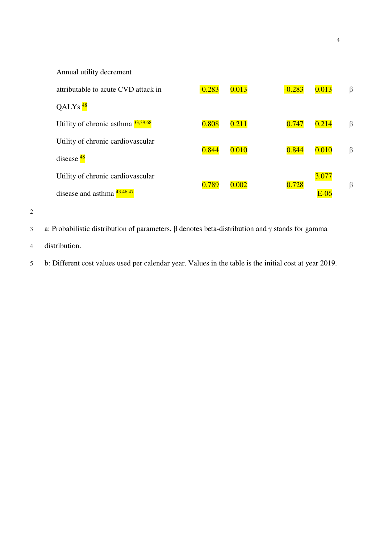| Annual utility decrement                       |          |       |          |        |   |
|------------------------------------------------|----------|-------|----------|--------|---|
| attributable to acute CVD attack in            | $-0.283$ | 0.013 | $-0.283$ | 0.013  | β |
| QALYs $48$                                     |          |       |          |        |   |
| Utility of chronic asthma $\frac{33,39,68}{ }$ | 0.808    | 0.211 | 0.747    | 0.214  | β |
| Utility of chronic cardiovascular              | 0.844    | 0.010 | 0.844    | 0.010  | β |
| disease $\frac{48}{ }$                         |          |       |          |        |   |
| Utility of chronic cardiovascular              | 0.789    | 0.002 | 0.728    | 3.077  | β |
| disease and asthma $\frac{43,46,47}{43}$       |          |       |          | $E-06$ |   |
|                                                |          |       |          |        |   |

3 a: Probabilistic distribution of parameters. β denotes beta-distribution and γ stands for gamma

4 distribution.

5 b: Different cost values used per calendar year. Values in the table is the initial cost at year 2019.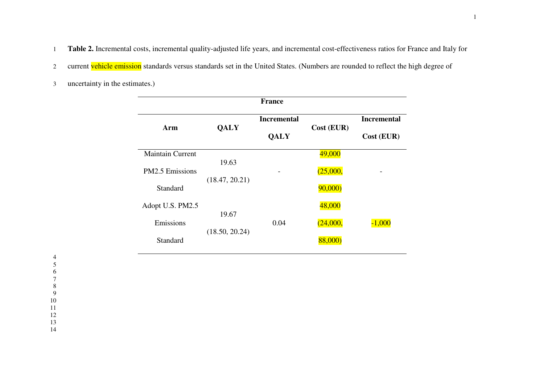1 **Table 2.** Incremental costs, incremental quality-adjusted life years, and incremental cost-effectiveness ratios for France and Italy for

- 2 current vehicle emission standards versus standards set in the United States. (Numbers are rounded to reflect the high degree of
- 3 uncertainty in the estimates.)

| <b>France</b>           |                |                                   |            |                                  |  |  |
|-------------------------|----------------|-----------------------------------|------------|----------------------------------|--|--|
| Arm                     | <b>QALY</b>    | <b>Incremental</b><br><b>QALY</b> | Cost (EUR) | <b>Incremental</b><br>Cost (EUR) |  |  |
| <b>Maintain Current</b> | 19.63          |                                   | 49,000     |                                  |  |  |
| <b>PM2.5</b> Emissions  | (18.47, 20.21) |                                   | (25,000,   |                                  |  |  |
| Standard                |                |                                   | 90,000)    |                                  |  |  |
| Adopt U.S. PM2.5        |                |                                   | 48,000     |                                  |  |  |
| Emissions               | 19.67          | 0.04                              | (24,000,   | $-1.000$                         |  |  |
| Standard                | (18.50, 20.24) |                                   | 88.000     |                                  |  |  |